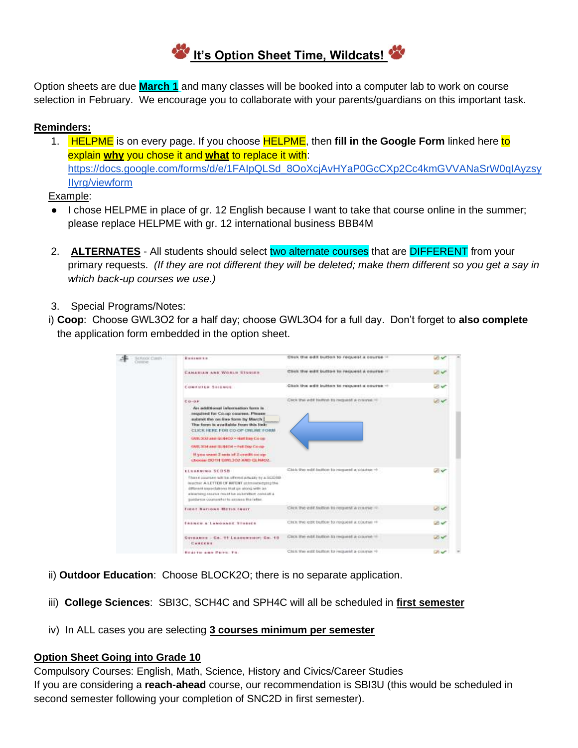

Option sheets are due **March 1** and many classes will be booked into a computer lab to work on course selection in February. We encourage you to collaborate with your parents/guardians on this important task.

### **Reminders:**

1. HELPME is on every page. If you choose HELPME, then **fill in the Google Form** linked here to explain **why** you chose it and **what** to replace it with: [https://docs.google.com/forms/d/e/1FAIpQLSd\\_8OoXcjAvHYaP0GcCXp2Cc4kmGVVANaSrW0qIAyzsy](https://docs.google.com/forms/d/e/1FAIpQLSd_8OoXcjAvHYaP0GcCXp2Cc4kmGVVANaSrW0qIAyzsyIIyrg/viewform) [IIyrg/viewform](https://docs.google.com/forms/d/e/1FAIpQLSd_8OoXcjAvHYaP0GcCXp2Cc4kmGVVANaSrW0qIAyzsyIIyrg/viewform)

Example:

- I chose HELPME in place of gr. 12 English because I want to take that course online in the summer; please replace HELPME with gr. 12 international business BBB4M
- 2. **ALTERNATES** All students should select two alternate courses that are DIFFERENT from your primary requests. *(If they are not different they will be deleted; make them different so you get a say in which back-up courses we use.)*
- 3. Special Programs/Notes:
- i) **Coop**: Choose GWL3O2 for a half day; choose GWL3O4 for a full day. Don't forget to **also complete** the application form embedded in the option sheet.

| lichtoor Carely<br>Cirinium. | Викимили.                                                                                                                                                                                                                                        | Click the edit button to request a course =                                                                                                                           | س ایما   |  |
|------------------------------|--------------------------------------------------------------------------------------------------------------------------------------------------------------------------------------------------------------------------------------------------|-----------------------------------------------------------------------------------------------------------------------------------------------------------------------|----------|--|
|                              | CANABLES AND WORLD STUDIES<br>a shekara ta 2009, wasan ƙwallon ƙafa ta ƙ                                                                                                                                                                         | DIVERSIONER EXAMPLE CONTRACTOR DESCRIPTIONS CONTRACTOR<br>Click the edit button to request a course !!                                                                |          |  |
|                              | COMPSIEN SAIGNOS                                                                                                                                                                                                                                 | Click the adit button to request a course -                                                                                                                           |          |  |
|                              | $C$ $O - O$ $V$<br>An additional information form is                                                                                                                                                                                             | Carl Ford College Data and ENVIRONMENT CONTROL TO A REPORT<br>Click the edit button to request a course. <sup>10</sup>                                                |          |  |
|                              | required for Comp courses. Please<br>submit the carding form by March I<br>The form is available from this link:<br>CLICK HERE FOR CO OF DNUME FORM                                                                                              |                                                                                                                                                                       |          |  |
|                              | GM1.000 and GLN400 - Half lias Co-car                                                                                                                                                                                                            |                                                                                                                                                                       |          |  |
|                              | GWL3D4 and BLN4D4 + Fell Day Co-ra-                                                                                                                                                                                                              |                                                                                                                                                                       |          |  |
|                              | If you want 2 sets of 2 credit co-op-<br>COMMITTEE DAYS TO C. IVAG HE VIRGINAL                                                                                                                                                                   |                                                                                                                                                                       |          |  |
|                              | <b>ELSERVING SCOSE</b>                                                                                                                                                                                                                           | Chick this wild building by required a course $\Rightarrow$<br>장난 무리의 발이 나서 잘 보니 혼이 들어 보면 보니 그러웠다. 어디 보고 있                                                            | من المما |  |
|                              | Thank courses will be offered smally by a SCOIID<br>Institut A LETTER OF HITERT actmosfedge(g) the<br>different superfairers that an along with an<br>elearning counts must be submitted consist a<br>paidletox coolsaller to access the letter. |                                                                                                                                                                       |          |  |
|                              | <b>FIRST NATIONS METLE SHEIT</b><br>and the property of the company of the company of the company of the company of the company of                                                                                                               | <b>CONSULTING DESIGNATION CONTINUES IN A STATE AND PROPERTY</b><br>CALS THE GIRL INSIDE IN PROJECT & LIBITIE -<br>and the community of the community of the community |          |  |
|                              | FRENCH & LAMONAGE STORIES                                                                                                                                                                                                                        | CEEN THE CITE BUILDING TO PRODUCT ALCOHOLIST FF.                                                                                                                      |          |  |
|                              | GOVANCE - GAL 99 LEADERBOYL GR. 10<br>and the state of the control of the state of<br>CANEENS                                                                                                                                                    | <b>WELL-MAN HARDWOOD CONTROLLERS</b><br>CIKE THE 60X SUITON TO INQUIRE & COUNSEL                                                                                      |          |  |
|                              | The property of the company's com-<br>Holderson wasne Parmer, Pre-                                                                                                                                                                               | Click the edit button to request a course <                                                                                                                           |          |  |

- ii) **Outdoor Education**: Choose BLOCK2O; there is no separate application.
- iii) **College Sciences**: SBI3C, SCH4C and SPH4C will all be scheduled in **first semester**
- iv) In ALL cases you are selecting **3 courses minimum per semester**

#### **Option Sheet Going into Grade 10**

Compulsory Courses: English, Math, Science, History and Civics/Career Studies If you are considering a **reach-ahead** course, our recommendation is SBI3U (this would be scheduled in second semester following your completion of SNC2D in first semester).